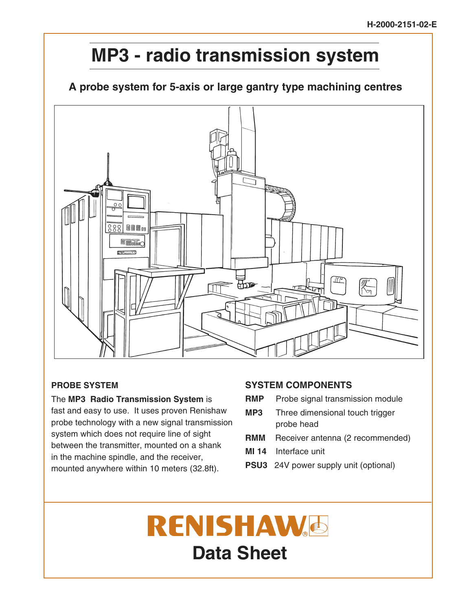## **MP3 - radio transmission system**

## **A probe system for 5-axis or large gantry type machining centres**



## **PROBE SYSTEM**

The **MP3 Radio Transmission System** is fast and easy to use. It uses proven Renishaw probe technology with a new signal transmission system which does not require line of sight between the transmitter, mounted on a shank in the machine spindle, and the receiver, mounted anywhere within 10 meters (32.8ft).

## **SYSTEM COMPONENTS**

- **RMP** Probe signal transmission module
- **MP3** Three dimensional touch trigger probe head
- **RMM** Receiver antenna (2 recommended)
- **MI 14** Interface unit
- **PSU3** 24V power supply unit (optional)

# **RENISHAW**& **Data Sheet**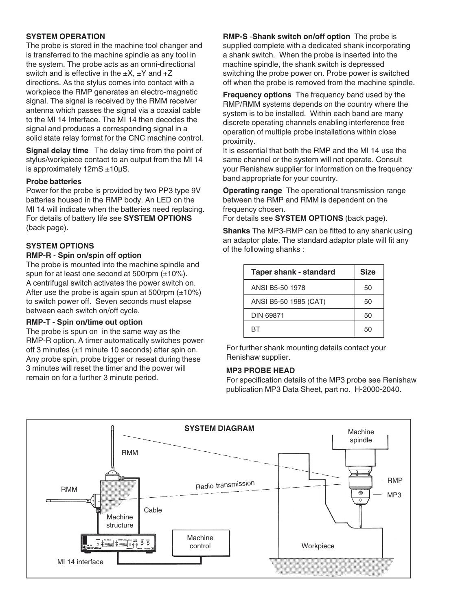#### **SYSTEM OPERATION**

The probe is stored in the machine tool changer and is transferred to the machine spindle as any tool in the system. The probe acts as an omni-directional switch and is effective in the  $\pm X$ ,  $\pm Y$  and  $+Z$ directions. As the stylus comes into contact with a workpiece the RMP generates an electro-magnetic signal. The signal is received by the RMM receiver antenna which passes the signal via a coaxial cable to the MI 14 Interface. The MI 14 then decodes the signal and produces a corresponding signal in a solid state relay format for the CNC machine control.

**Signal delay time** The delay time from the point of stylus/workpiece contact to an output from the MI 14 is approximately 12mS ±10µS.

#### **Probe batteries**

Power for the probe is provided by two PP3 type 9V batteries housed in the RMP body. An LED on the MI 14 will indicate when the batteries need replacing. For details of battery life see **SYSTEM OPTIONS** (back page).

## **SYSTEM OPTIONS**

#### **RMP-R** - **Spin on/spin off option**

The probe is mounted into the machine spindle and spun for at least one second at 500rpm  $(\pm 10\%)$ . A centrifugal switch activates the power switch on. After use the probe is again spun at 500rpm  $(\pm 10\%)$ to switch power off. Seven seconds must elapse between each switch on/off cycle.

#### **RMP-T - Spin on/time out option**

The probe is spun on in the same way as the RMP-R option. A timer automatically switches power off 3 minutes (±1 minute 10 seconds) after spin on. Any probe spin, probe trigger or reseat during these 3 minutes will reset the timer and the power will remain on for a further 3 minute period.

**RMP-S** -**Shank switch on/off option** The probe is supplied complete with a dedicated shank incorporating a shank switch. When the probe is inserted into the machine spindle, the shank switch is depressed switching the probe power on. Probe power is switched off when the probe is removed from the machine spindle.

**Frequency options** The frequency band used by the RMP/RMM systems depends on the country where the system is to be installed. Within each band are many discrete operating channels enabling interference free operation of multiple probe installations within close proximity.

It is essential that both the RMP and the MI 14 use the same channel or the system will not operate. Consult your Renishaw supplier for information on the frequency band appropriate for your country.

**Operating range** The operational transmission range between the RMP and RMM is dependent on the frequency chosen.

For details see **SYSTEM OPTIONS** (back page).

**Shanks** The MP3-RMP can be fitted to any shank using an adaptor plate. The standard adaptor plate will fit any of the following shanks :

| Taper shank - standard | <b>Size</b> |
|------------------------|-------------|
| ANSI B5-50 1978        | 50          |
| ANSI B5-50 1985 (CAT)  | 50          |
| <b>DIN 69871</b>       | 50          |
| RТ                     | 50          |

For further shank mounting details contact your Renishaw supplier.

#### **MP3 PROBE HEAD**

For specification details of the MP3 probe see Renishaw publication MP3 Data Sheet, part no. H-2000-2040.

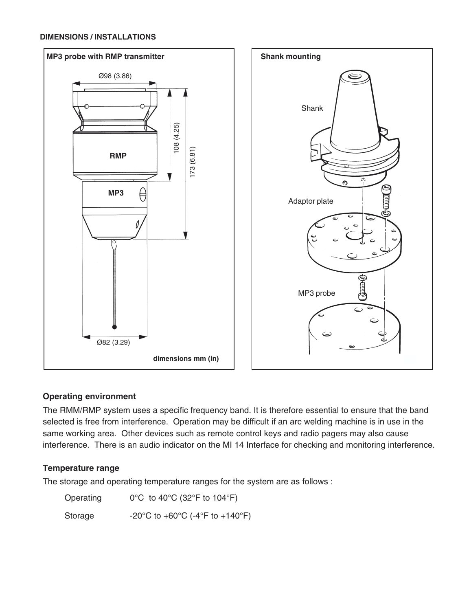#### **DIMENSIONS / INSTALLATIONS**



### **Operating environment**

The RMM/RMP system uses a specific frequency band. It is therefore essential to ensure that the band selected is free from interference. Operation may be difficult if an arc welding machine is in use in the same working area. Other devices such as remote control keys and radio pagers may also cause interference. There is an audio indicator on the MI 14 Interface for checking and monitoring interference.

## **Temperature range**

The storage and operating temperature ranges for the system are as follows :

| Operating | $0^{\circ}$ C to 40 $^{\circ}$ C (32 $^{\circ}$ F to 104 $^{\circ}$ F) |
|-----------|------------------------------------------------------------------------|
| Storage   | -20°C to +60°C (-4°F to +140°F)                                        |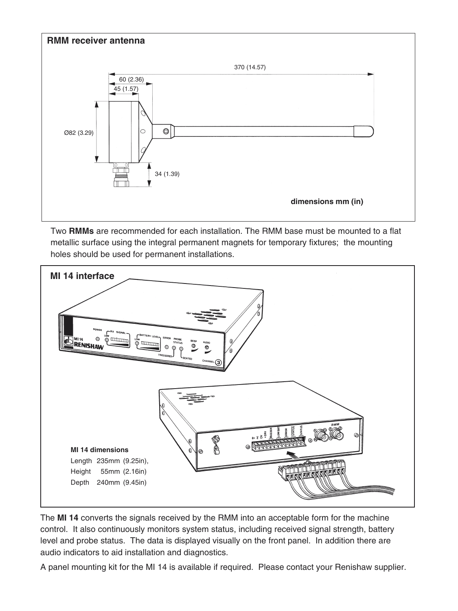

Two **RMMs** are recommended for each installation. The RMM base must be mounted to a flat metallic surface using the integral permanent magnets for temporary fixtures; the mounting holes should be used for permanent installations.



The **MI 14** converts the signals received by the RMM into an acceptable form for the machine control. It also continuously monitors system status, including received signal strength, battery level and probe status. The data is displayed visually on the front panel. In addition there are audio indicators to aid installation and diagnostics.

A panel mounting kit for the MI 14 is available if required. Please contact your Renishaw supplier.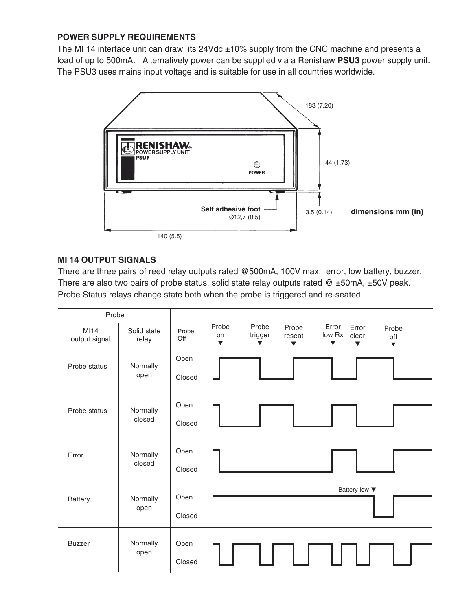## **POWER SUPPLY REQUIREMENTS**

The MI 14 interface unit can draw its 24Vdc  $\pm$ 10% supply from the CNC machine and presents a load of up to 500mA. Alternatively power can be supplied via a Renishaw **PSU3** power supply unit. The PSU3 uses mains input voltage and is suitable for use in all countries worldwide.



## **MI 14 OUTPUT SIGNALS**

There are three pairs of reed relay outputs rated @500mA, 100V max: error, low battery, buzzer. There are also two pairs of probe status, solid state relay outputs rated  $@ \pm 50$ mA,  $\pm 50$ V peak. Probe Status relays change state both when the probe is triggered and re-seated.

| Probe                 |                      |                |                                     |                                          |                                         |                                         |                                  |                                |
|-----------------------|----------------------|----------------|-------------------------------------|------------------------------------------|-----------------------------------------|-----------------------------------------|----------------------------------|--------------------------------|
| MI14<br>output signal | Solid state<br>relay | Probe<br>Off   | Probe<br>on<br>$\blacktriangledown$ | Probe<br>trigger<br>$\blacktriangledown$ | Probe<br>reseat<br>$\blacktriangledown$ | Error<br>low Rx<br>$\blacktriangledown$ | Error<br>clear<br>$\blacksquare$ | Probe<br>off<br>$\blacksquare$ |
| Probe status          | Normally<br>open     | Open<br>Closed |                                     |                                          |                                         |                                         |                                  |                                |
| Probe status          | Normally<br>closed   | Open<br>Closed |                                     |                                          |                                         |                                         |                                  |                                |
| Error                 | Normally<br>closed   | Open<br>Closed |                                     |                                          |                                         |                                         |                                  |                                |
| Battery               | Normally<br>open     | Open<br>Closed |                                     |                                          |                                         |                                         | Battery low ▼                    |                                |
| <b>Buzzer</b>         | Normally<br>open     | Open<br>Closed |                                     |                                          |                                         |                                         |                                  |                                |